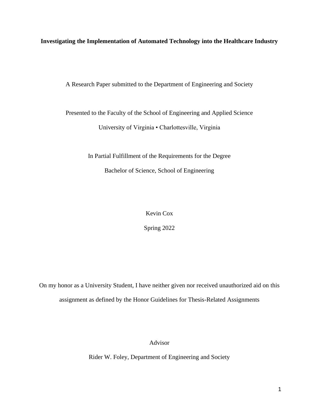**Investigating the Implementation of Automated Technology into the Healthcare Industry**

A Research Paper submitted to the Department of Engineering and Society

Presented to the Faculty of the School of Engineering and Applied Science University of Virginia • Charlottesville, Virginia

> In Partial Fulfillment of the Requirements for the Degree Bachelor of Science, School of Engineering

> > Kevin Cox

Spring 2022

On my honor as a University Student, I have neither given nor received unauthorized aid on this assignment as defined by the Honor Guidelines for Thesis-Related Assignments

Advisor

Rider W. Foley, Department of Engineering and Society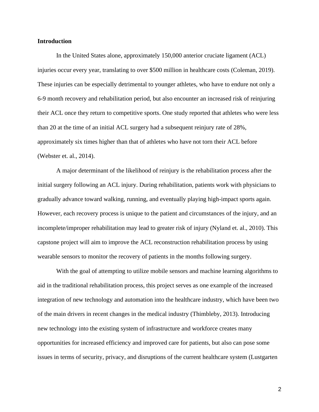#### **Introduction**

In the United States alone, approximately 150,000 anterior cruciate ligament (ACL) injuries occur every year, translating to over \$500 million in healthcare costs (Coleman, 2019). These injuries can be especially detrimental to younger athletes, who have to endure not only a 6-9 month recovery and rehabilitation period, but also encounter an increased risk of reinjuring their ACL once they return to competitive sports. One study reported that athletes who were less than 20 at the time of an initial ACL surgery had a subsequent reinjury rate of 28%, approximately six times higher than that of athletes who have not torn their ACL before (Webster et. al., 2014).

A major determinant of the likelihood of reinjury is the rehabilitation process after the initial surgery following an ACL injury. During rehabilitation, patients work with physicians to gradually advance toward walking, running, and eventually playing high-impact sports again. However, each recovery process is unique to the patient and circumstances of the injury, and an incomplete/improper rehabilitation may lead to greater risk of injury (Nyland et. al., 2010). This capstone project will aim to improve the ACL reconstruction rehabilitation process by using wearable sensors to monitor the recovery of patients in the months following surgery.

With the goal of attempting to utilize mobile sensors and machine learning algorithms to aid in the traditional rehabilitation process, this project serves as one example of the increased integration of new technology and automation into the healthcare industry, which have been two of the main drivers in recent changes in the medical industry (Thimbleby, 2013). Introducing new technology into the existing system of infrastructure and workforce creates many opportunities for increased efficiency and improved care for patients, but also can pose some issues in terms of security, privacy, and disruptions of the current healthcare system (Lustgarten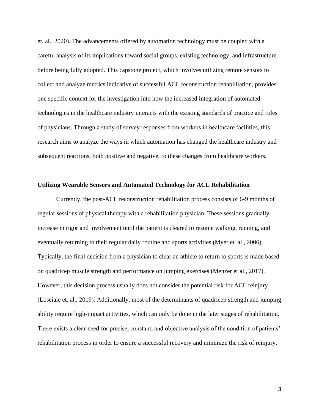et. al., 2020). The advancements offered by automation technology must be coupled with a careful analysis of its implications toward social groups, existing technology, and infrastructure before being fully adopted. This capstone project, which involves utilizing remote sensors to collect and analyze metrics indicative of successful ACL reconstruction rehabilitation, provides one specific context for the investigation into how the increased integration of automated technologies in the healthcare industry interacts with the existing standards of practice and roles of physicians. Through a study of survey responses from workers in healthcare facilities, this research aims to analyze the ways in which automation has changed the healthcare industry and subsequent reactions, both positive and negative, to these changes from healthcare workers.

#### **Utilizing Wearable Sensors and Automated Technology for ACL Rehabilitation**

Currently, the post-ACL reconstruction rehabilitation process consists of 6-9 months of regular sessions of physical therapy with a rehabilitation physician. These sessions gradually increase in rigor and involvement until the patient is cleared to resume walking, running, and eventually returning to their regular daily routine and sports activities (Myer et. al., 2006). Typically, the final decision from a physician to clear an athlete to return to sports is made based on quadricep muscle strength and performance on jumping exercises (Menzer et al., 2017). However, this decision process usually does not consider the potential risk for ACL reinjury (Losciale et. al., 2019). Additionally, most of the determinants of quadricep strength and jumping ability require high-impact activities, which can only be done in the later stages of rehabilitation. There exists a clear need for precise, constant, and objective analysis of the condition of patients' rehabilitation process in order to ensure a successful recovery and minimize the risk of reinjury.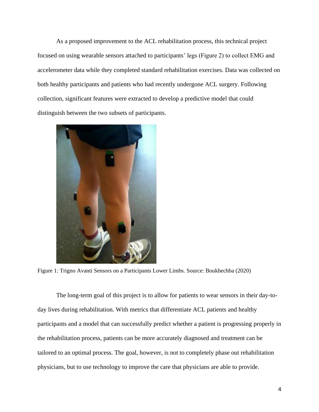As a proposed improvement to the ACL rehabilitation process, this technical project focused on using wearable sensors attached to participants' legs (Figure 2) to collect EMG and accelerometer data while they completed standard rehabilitation exercises. Data was collected on both healthy participants and patients who had recently undergone ACL surgery. Following collection, significant features were extracted to develop a predictive model that could distinguish between the two subsets of participants.



Figure 1: Trigno Avanti Sensors on a Participants Lower Limbs. Source: Boukhechba (2020)

The long-term goal of this project is to allow for patients to wear sensors in their day-today lives during rehabilitation. With metrics that differentiate ACL patients and healthy participants and a model that can successfully predict whether a patient is progressing properly in the rehabilitation process, patients can be more accurately diagnosed and treatment can be tailored to an optimal process. The goal, however, is not to completely phase out rehabilitation physicians, but to use technology to improve the care that physicians are able to provide.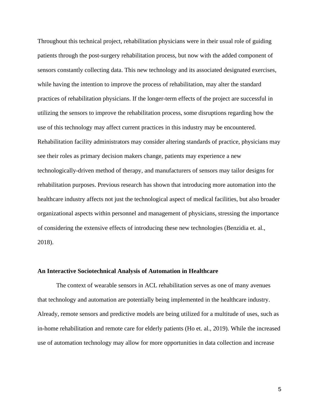Throughout this technical project, rehabilitation physicians were in their usual role of guiding patients through the post-surgery rehabilitation process, but now with the added component of sensors constantly collecting data. This new technology and its associated designated exercises, while having the intention to improve the process of rehabilitation, may alter the standard practices of rehabilitation physicians. If the longer-term effects of the project are successful in utilizing the sensors to improve the rehabilitation process, some disruptions regarding how the use of this technology may affect current practices in this industry may be encountered. Rehabilitation facility administrators may consider altering standards of practice, physicians may see their roles as primary decision makers change, patients may experience a new technologically-driven method of therapy, and manufacturers of sensors may tailor designs for rehabilitation purposes. Previous research has shown that introducing more automation into the healthcare industry affects not just the technological aspect of medical facilities, but also broader organizational aspects within personnel and management of physicians, stressing the importance of considering the extensive effects of introducing these new technologies (Benzidia et. al., 2018).

#### **An Interactive Sociotechnical Analysis of Automation in Healthcare**

The context of wearable sensors in ACL rehabilitation serves as one of many avenues that technology and automation are potentially being implemented in the healthcare industry. Already, remote sensors and predictive models are being utilized for a multitude of uses, such as in-home rehabilitation and remote care for elderly patients (Ho et. al., 2019). While the increased use of automation technology may allow for more opportunities in data collection and increase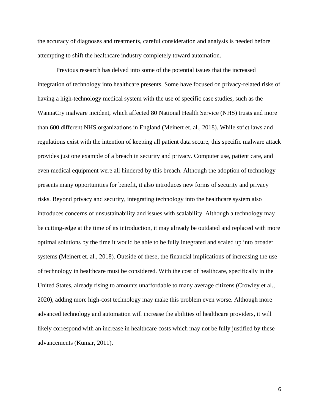the accuracy of diagnoses and treatments, careful consideration and analysis is needed before attempting to shift the healthcare industry completely toward automation.

Previous research has delved into some of the potential issues that the increased integration of technology into healthcare presents. Some have focused on privacy-related risks of having a high-technology medical system with the use of specific case studies, such as the WannaCry malware incident, which affected 80 National Health Service (NHS) trusts and more than 600 different NHS organizations in England (Meinert et. al., 2018). While strict laws and regulations exist with the intention of keeping all patient data secure, this specific malware attack provides just one example of a breach in security and privacy. Computer use, patient care, and even medical equipment were all hindered by this breach. Although the adoption of technology presents many opportunities for benefit, it also introduces new forms of security and privacy risks. Beyond privacy and security, integrating technology into the healthcare system also introduces concerns of unsustainability and issues with scalability. Although a technology may be cutting-edge at the time of its introduction, it may already be outdated and replaced with more optimal solutions by the time it would be able to be fully integrated and scaled up into broader systems (Meinert et. al., 2018). Outside of these, the financial implications of increasing the use of technology in healthcare must be considered. With the cost of healthcare, specifically in the United States, already rising to amounts unaffordable to many average citizens (Crowley et al., 2020), adding more high-cost technology may make this problem even worse. Although more advanced technology and automation will increase the abilities of healthcare providers, it will likely correspond with an increase in healthcare costs which may not be fully justified by these advancements (Kumar, 2011).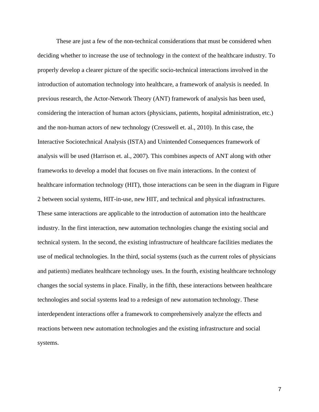These are just a few of the non-technical considerations that must be considered when deciding whether to increase the use of technology in the context of the healthcare industry. To properly develop a clearer picture of the specific socio-technical interactions involved in the introduction of automation technology into healthcare, a framework of analysis is needed. In previous research, the Actor-Network Theory (ANT) framework of analysis has been used, considering the interaction of human actors (physicians, patients, hospital administration, etc.) and the non-human actors of new technology (Cresswell et. al., 2010). In this case, the Interactive Sociotechnical Analysis (ISTA) and Unintended Consequences framework of analysis will be used (Harrison et. al., 2007). This combines aspects of ANT along with other frameworks to develop a model that focuses on five main interactions. In the context of healthcare information technology (HIT), those interactions can be seen in the diagram in Figure 2 between social systems, HIT-in-use, new HIT, and technical and physical infrastructures. These same interactions are applicable to the introduction of automation into the healthcare industry. In the first interaction, new automation technologies change the existing social and technical system. In the second, the existing infrastructure of healthcare facilities mediates the use of medical technologies. In the third, social systems (such as the current roles of physicians and patients) mediates healthcare technology uses. In the fourth, existing healthcare technology changes the social systems in place. Finally, in the fifth, these interactions between healthcare technologies and social systems lead to a redesign of new automation technology. These interdependent interactions offer a framework to comprehensively analyze the effects and reactions between new automation technologies and the existing infrastructure and social systems.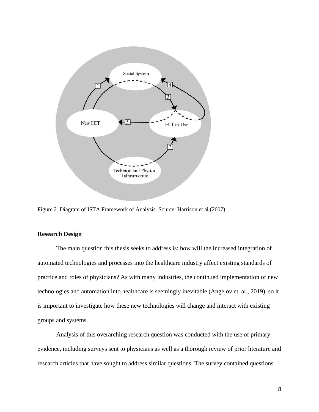

Figure 2. Diagram of ISTA Framework of Analysis. Source: Harrison et al (2007).

#### **Research Design**

The main question this thesis seeks to address is: how will the increased integration of automated technologies and processes into the healthcare industry affect existing standards of practice and roles of physicians? As with many industries, the continued implementation of new technologies and automation into healthcare is seemingly inevitable (Angelov et. al., 2019), so it is important to investigate how these new technologies will change and interact with existing groups and systems.

Analysis of this overarching research question was conducted with the use of primary evidence, including surveys sent to physicians as well as a thorough review of prior literature and research articles that have sought to address similar questions. The survey contained questions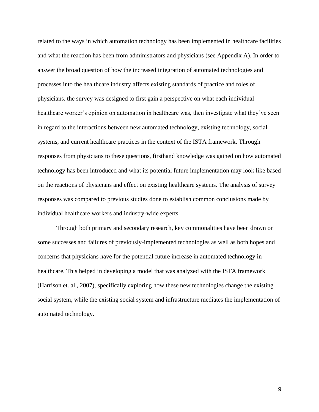related to the ways in which automation technology has been implemented in healthcare facilities and what the reaction has been from administrators and physicians (see Appendix A). In order to answer the broad question of how the increased integration of automated technologies and processes into the healthcare industry affects existing standards of practice and roles of physicians, the survey was designed to first gain a perspective on what each individual healthcare worker's opinion on automation in healthcare was, then investigate what they've seen in regard to the interactions between new automated technology, existing technology, social systems, and current healthcare practices in the context of the ISTA framework. Through responses from physicians to these questions, firsthand knowledge was gained on how automated technology has been introduced and what its potential future implementation may look like based on the reactions of physicians and effect on existing healthcare systems. The analysis of survey responses was compared to previous studies done to establish common conclusions made by individual healthcare workers and industry-wide experts.

Through both primary and secondary research, key commonalities have been drawn on some successes and failures of previously-implemented technologies as well as both hopes and concerns that physicians have for the potential future increase in automated technology in healthcare. This helped in developing a model that was analyzed with the ISTA framework (Harrison et. al., 2007), specifically exploring how these new technologies change the existing social system, while the existing social system and infrastructure mediates the implementation of automated technology.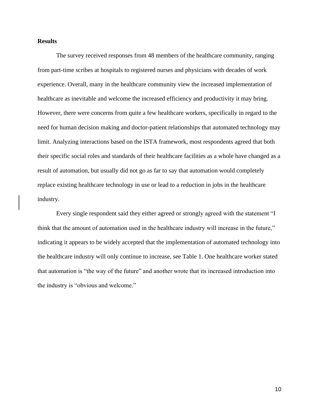### **Results**

The survey received responses from 48 members of the healthcare community, ranging from part-time scribes at hospitals to registered nurses and physicians with decades of work experience. Overall, many in the healthcare community view the increased implementation of healthcare as inevitable and welcome the increased efficiency and productivity it may bring. However, there were concerns from quite a few healthcare workers, specifically in regard to the need for human decision making and doctor-patient relationships that automated technology may limit. Analyzing interactions based on the ISTA framework, most respondents agreed that both their specific social roles and standards of their healthcare facilities as a whole have changed as a result of automation, but usually did not go as far to say that automation would completely replace existing healthcare technology in use or lead to a reduction in jobs in the healthcare industry.

Every single respondent said they either agreed or strongly agreed with the statement "I think that the amount of automation used in the healthcare industry will increase in the future," indicating it appears to be widely accepted that the implementation of automated technology into the healthcare industry will only continue to increase, see Table 1. One healthcare worker stated that automation is "the way of the future" and another wrote that its increased introduction into the industry is "obvious and welcome."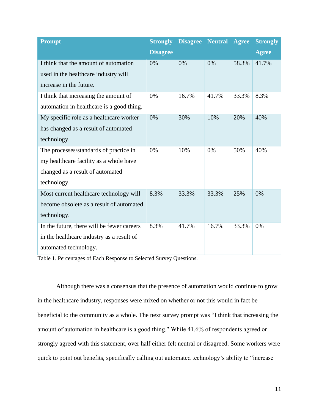| <b>Prompt</b>                              | <b>Strongly</b> | <b>Disagree</b> | <b>Neutral</b> | <b>Agree</b> | <b>Strongly</b> |
|--------------------------------------------|-----------------|-----------------|----------------|--------------|-----------------|
|                                            | <b>Disagree</b> |                 |                |              | <b>Agree</b>    |
| I think that the amount of automation      | 0%              | 0%              | 0%             | 58.3%        | 41.7%           |
| used in the healthcare industry will       |                 |                 |                |              |                 |
| increase in the future.                    |                 |                 |                |              |                 |
| I think that increasing the amount of      | 0%              | 16.7%           | 41.7%          | 33.3%        | 8.3%            |
| automation in healthcare is a good thing.  |                 |                 |                |              |                 |
| My specific role as a healthcare worker    | 0%              | 30%             | 10%            | 20%          | 40%             |
| has changed as a result of automated       |                 |                 |                |              |                 |
| technology.                                |                 |                 |                |              |                 |
| The processes/standards of practice in     | 0%              | 10%             | 0%             | 50%          | 40%             |
| my healthcare facility as a whole have     |                 |                 |                |              |                 |
| changed as a result of automated           |                 |                 |                |              |                 |
| technology.                                |                 |                 |                |              |                 |
| Most current healthcare technology will    | 8.3%            | 33.3%           | 33.3%          | 25%          | 0%              |
| become obsolete as a result of automated   |                 |                 |                |              |                 |
| technology.                                |                 |                 |                |              |                 |
| In the future, there will be fewer careers | 8.3%            | 41.7%           | 16.7%          | 33.3%        | 0%              |
| in the healthcare industry as a result of  |                 |                 |                |              |                 |
| automated technology.                      |                 |                 |                |              |                 |

Table 1. Percentages of Each Response to Selected Survey Questions.

Although there was a consensus that the presence of automation would continue to grow in the healthcare industry, responses were mixed on whether or not this would in fact be beneficial to the community as a whole. The next survey prompt was "I think that increasing the amount of automation in healthcare is a good thing." While 41.6% of respondents agreed or strongly agreed with this statement, over half either felt neutral or disagreed. Some workers were quick to point out benefits, specifically calling out automated technology's ability to "increase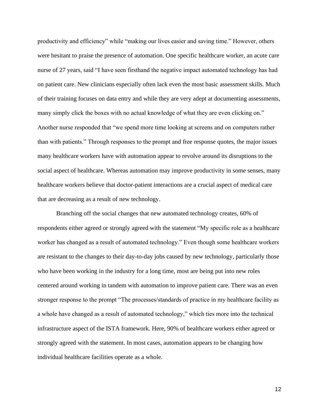productivity and efficiency" while "making our lives easier and saving time." However, others were hesitant to praise the presence of automation. One specific healthcare worker, an acute care nurse of 27 years, said "I have seen firsthand the negative impact automated technology has had on patient care. New clinicians especially often lack even the most basic assessment skills. Much of their training focuses on data entry and while they are very adept at documenting assessments, many simply click the boxes with no actual knowledge of what they are even clicking on." Another nurse responded that "we spend more time looking at screens and on computers rather than with patients." Through responses to the prompt and free response quotes, the major issues many healthcare workers have with automation appear to revolve around its disruptions to the social aspect of healthcare. Whereas automation may improve productivity in some senses, many healthcare workers believe that doctor-patient interactions are a crucial aspect of medical care that are decreasing as a result of new technology.

Branching off the social changes that new automated technology creates, 60% of respondents either agreed or strongly agreed with the statement "My specific role as a healthcare worker has changed as a result of automated technology." Even though some healthcare workers are resistant to the changes to their day-to-day jobs caused by new technology, particularly those who have been working in the industry for a long time, most are being put into new roles centered around working in tandem with automation to improve patient care. There was an even stronger response to the prompt "The processes/standards of practice in my healthcare facility as a whole have changed as a result of automated technology," which ties more into the technical infrastructure aspect of the ISTA framework. Here, 90% of healthcare workers either agreed or strongly agreed with the statement. In most cases, automation appears to be changing how individual healthcare facilities operate as a whole.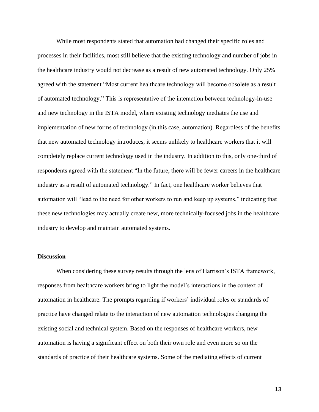While most respondents stated that automation had changed their specific roles and processes in their facilities, most still believe that the existing technology and number of jobs in the healthcare industry would not decrease as a result of new automated technology. Only 25% agreed with the statement "Most current healthcare technology will become obsolete as a result of automated technology." This is representative of the interaction between technology-in-use and new technology in the ISTA model, where existing technology mediates the use and implementation of new forms of technology (in this case, automation). Regardless of the benefits that new automated technology introduces, it seems unlikely to healthcare workers that it will completely replace current technology used in the industry. In addition to this, only one-third of respondents agreed with the statement "In the future, there will be fewer careers in the healthcare industry as a result of automated technology." In fact, one healthcare worker believes that automation will "lead to the need for other workers to run and keep up systems," indicating that these new technologies may actually create new, more technically-focused jobs in the healthcare industry to develop and maintain automated systems.

#### **Discussion**

When considering these survey results through the lens of Harrison's ISTA framework, responses from healthcare workers bring to light the model's interactions in the context of automation in healthcare. The prompts regarding if workers' individual roles or standards of practice have changed relate to the interaction of new automation technologies changing the existing social and technical system. Based on the responses of healthcare workers, new automation is having a significant effect on both their own role and even more so on the standards of practice of their healthcare systems. Some of the mediating effects of current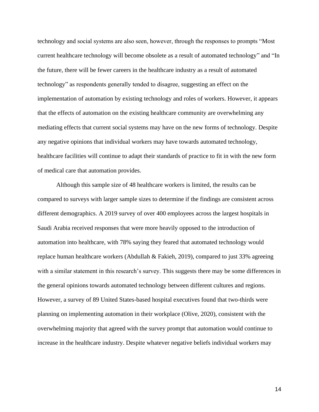technology and social systems are also seen, however, through the responses to prompts "Most current healthcare technology will become obsolete as a result of automated technology" and "In the future, there will be fewer careers in the healthcare industry as a result of automated technology" as respondents generally tended to disagree, suggesting an effect on the implementation of automation by existing technology and roles of workers. However, it appears that the effects of automation on the existing healthcare community are overwhelming any mediating effects that current social systems may have on the new forms of technology. Despite any negative opinions that individual workers may have towards automated technology, healthcare facilities will continue to adapt their standards of practice to fit in with the new form of medical care that automation provides.

Although this sample size of 48 healthcare workers is limited, the results can be compared to surveys with larger sample sizes to determine if the findings are consistent across different demographics. A 2019 survey of over 400 employees across the largest hospitals in Saudi Arabia received responses that were more heavily opposed to the introduction of automation into healthcare, with 78% saying they feared that automated technology would replace human healthcare workers (Abdullah & Fakieh, 2019), compared to just 33% agreeing with a similar statement in this research's survey. This suggests there may be some differences in the general opinions towards automated technology between different cultures and regions. However, a survey of 89 United States-based hospital executives found that two-thirds were planning on implementing automation in their workplace (Olive, 2020), consistent with the overwhelming majority that agreed with the survey prompt that automation would continue to increase in the healthcare industry. Despite whatever negative beliefs individual workers may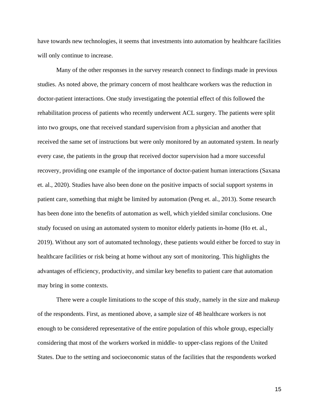have towards new technologies, it seems that investments into automation by healthcare facilities will only continue to increase.

Many of the other responses in the survey research connect to findings made in previous studies. As noted above, the primary concern of most healthcare workers was the reduction in doctor-patient interactions. One study investigating the potential effect of this followed the rehabilitation process of patients who recently underwent ACL surgery. The patients were split into two groups, one that received standard supervision from a physician and another that received the same set of instructions but were only monitored by an automated system. In nearly every case, the patients in the group that received doctor supervision had a more successful recovery, providing one example of the importance of doctor-patient human interactions (Saxana et. al., 2020). Studies have also been done on the positive impacts of social support systems in patient care, something that might be limited by automation (Peng et. al., 2013). Some research has been done into the benefits of automation as well, which yielded similar conclusions. One study focused on using an automated system to monitor elderly patients in-home (Ho et. al., 2019). Without any sort of automated technology, these patients would either be forced to stay in healthcare facilities or risk being at home without any sort of monitoring. This highlights the advantages of efficiency, productivity, and similar key benefits to patient care that automation may bring in some contexts.

There were a couple limitations to the scope of this study, namely in the size and makeup of the respondents. First, as mentioned above, a sample size of 48 healthcare workers is not enough to be considered representative of the entire population of this whole group, especially considering that most of the workers worked in middle- to upper-class regions of the United States. Due to the setting and socioeconomic status of the facilities that the respondents worked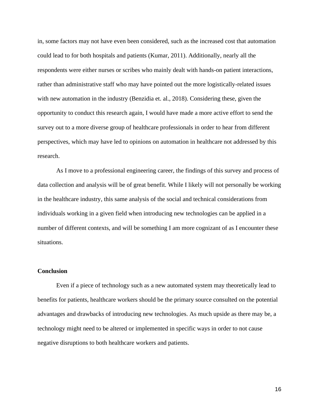in, some factors may not have even been considered, such as the increased cost that automation could lead to for both hospitals and patients (Kumar, 2011). Additionally, nearly all the respondents were either nurses or scribes who mainly dealt with hands-on patient interactions, rather than administrative staff who may have pointed out the more logistically-related issues with new automation in the industry (Benzidia et. al., 2018). Considering these, given the opportunity to conduct this research again, I would have made a more active effort to send the survey out to a more diverse group of healthcare professionals in order to hear from different perspectives, which may have led to opinions on automation in healthcare not addressed by this research.

As I move to a professional engineering career, the findings of this survey and process of data collection and analysis will be of great benefit. While I likely will not personally be working in the healthcare industry, this same analysis of the social and technical considerations from individuals working in a given field when introducing new technologies can be applied in a number of different contexts, and will be something I am more cognizant of as I encounter these situations.

#### **Conclusion**

Even if a piece of technology such as a new automated system may theoretically lead to benefits for patients, healthcare workers should be the primary source consulted on the potential advantages and drawbacks of introducing new technologies. As much upside as there may be, a technology might need to be altered or implemented in specific ways in order to not cause negative disruptions to both healthcare workers and patients.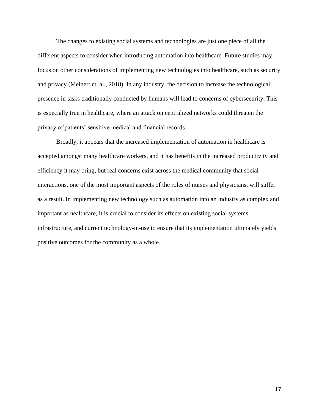The changes to existing social systems and technologies are just one piece of all the different aspects to consider when introducing automation into healthcare. Future studies may focus on other considerations of implementing new technologies into healthcare, such as security and privacy (Meinert et. al., 2018). In any industry, the decision to increase the technological presence in tasks traditionally conducted by humans will lead to concerns of cybersecurity. This is especially true in healthcare, where an attack on centralized networks could threaten the privacy of patients' sensitive medical and financial records.

Broadly, it appears that the increased implementation of automation in healthcare is accepted amongst many healthcare workers, and it has benefits in the increased productivity and efficiency it may bring, but real concerns exist across the medical community that social interactions, one of the most important aspects of the roles of nurses and physicians, will suffer as a result. In implementing new technology such as automation into an industry as complex and important as healthcare, it is crucial to consider its effects on existing social systems, infrastructure, and current technology-in-use to ensure that its implementation ultimately yields positive outcomes for the community as a whole.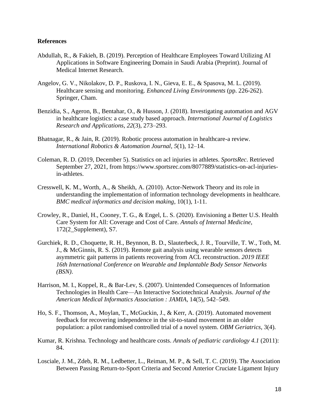#### **References**

- Abdullah, R., & Fakieh, B. (2019). Perception of Healthcare Employees Toward Utilizing AI Applications in Software Engineering Domain in Saudi Arabia (Preprint). Journal of Medical Internet Research.
- Angelov, G. V., Nikolakov, D. P., Ruskova, I. N., Gieva, E. E., & Spasova, M. L. (2019). Healthcare sensing and monitoring. *Enhanced Living Environments* (pp. 226-262). Springer, Cham.
- Benzidia, S., Ageron, B., Bentahar, O., & Husson, J. (2018). Investigating automation and AGV in healthcare logistics: a case study based approach. *International Journal of Logistics Research and Applications*, *22*(3), 273–293.
- Bhatnagar, R., & Jain, R. (2019). Robotic process automation in healthcare-a review. *International Robotics & Automation Journal*, *5*(1), 12–14.
- Coleman, R. D. (2019, December 5). Statistics on acl injuries in athletes. *SportsRec*. Retrieved September 27, 2021, from https://www.sportsrec.com/8077889/statistics-on-acl-injuriesin-athletes.
- Cresswell, K. M., Worth, A., & Sheikh, A. (2010). Actor-Network Theory and its role in understanding the implementation of information technology developments in healthcare. *BMC medical informatics and decision making*, 10(1), 1-11.
- Crowley, R., Daniel, H., Cooney, T. G., & Engel, L. S. (2020). Envisioning a Better U.S. Health Care System for All: Coverage and Cost of Care. *Annals of Internal Medicine*, 172(2\_Supplement), S7.
- Gurchiek, R. D., Choquette, R. H., Beynnon, B. D., Slauterbeck, J. R., Tourville, T. W., Toth, M. J., & McGinnis, R. S. (2019). Remote gait analysis using wearable sensors detects asymmetric gait patterns in patients recovering from ACL reconstruction. *2019 IEEE 16th International Conference on Wearable and Implantable Body Sensor Networks (BSN)*.
- Harrison, M. I., Koppel, R., & Bar-Lev, S. (2007). Unintended Consequences of Information Technologies in Health Care—An Interactive Sociotechnical Analysis. *Journal of the American Medical Informatics Association : JAMIA*, 14(5), 542–549.
- Ho, S. F., Thomson, A., Moylan, T., McGuckin, J., & Kerr, A. (2019). Automated movement feedback for recovering independence in the sit-to-stand movement in an older population: a pilot randomised controlled trial of a novel system. *OBM Geriatrics*, 3(4).
- Kumar, R. Krishna. Technology and healthcare costs. *Annals of pediatric cardiology 4.1* (2011): 84.
- Losciale, J. M., Zdeb, R. M., Ledbetter, L., Reiman, M. P., & Sell, T. C. (2019). The Association Between Passing Return-to-Sport Criteria and Second Anterior Cruciate Ligament Injury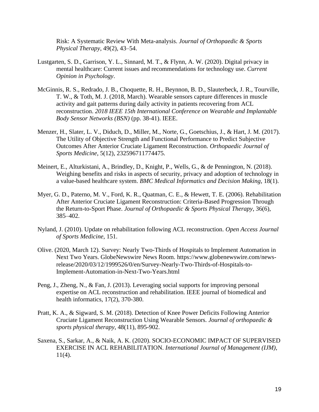Risk: A Systematic Review With Meta-analysis. *Journal of Orthopaedic & Sports Physical Therapy*, 49(2), 43–54.

- Lustgarten, S. D., Garrison, Y. L., Sinnard, M. T., & Flynn, A. W. (2020). Digital privacy in mental healthcare: Current issues and recommendations for technology use. *Current Opinion in Psychology*.
- McGinnis, R. S., Redrado, J. B., Choquette, R. H., Beynnon, B. D., Slauterbeck, J. R., Tourville, T. W., & Toth, M. J. (2018, March). Wearable sensors capture differences in muscle activity and gait patterns during daily activity in patients recovering from ACL reconstruction. *2018 IEEE 15th International Conference on Wearable and Implantable Body Sensor Networks (BSN)* (pp. 38-41). IEEE.
- Menzer, H., Slater, L. V., Diduch, D., Miller, M., Norte, G., Goetschius, J., & Hart, J. M. (2017). The Utility of Objective Strength and Functional Performance to Predict Subjective Outcomes After Anterior Cruciate Ligament Reconstruction. *Orthopaedic Journal of Sports Medicine*, 5(12), 232596711774475.
- Meinert, E., Alturkistani, A., Brindley, D., Knight, P., Wells, G., & de Pennington, N. (2018). Weighing benefits and risks in aspects of security, privacy and adoption of technology in a value-based healthcare system. *BMC Medical Informatics and Decision Making*, 18(1).
- Myer, G. D., Paterno, M. V., Ford, K. R., Quatman, C. E., & Hewett, T. E. (2006). Rehabilitation After Anterior Cruciate Ligament Reconstruction: Criteria-Based Progression Through the Return-to-Sport Phase. *Journal of Orthopaedic & Sports Physical Therapy*, 36(6), 385–402.
- Nyland, J. (2010). Update on rehabilitation following ACL reconstruction. *Open Access Journal of Sports Medicine*, 151.
- Olive. (2020, March 12). Survey: Nearly Two-Thirds of Hospitals to Implement Automation in Next Two Years. GlobeNewswire News Room. https://www.globenewswire.com/newsrelease/2020/03/12/1999526/0/en/Survey-Nearly-Two-Thirds-of-Hospitals-to-Implement-Automation-in-Next-Two-Years.html
- Peng, J., Zheng, N., & Fan, J. (2013). Leveraging social supports for improving personal expertise on ACL reconstruction and rehabilitation. IEEE journal of biomedical and health informatics, 17(2), 370-380.
- Pratt, K. A., & Sigward, S. M. (2018). Detection of Knee Power Deficits Following Anterior Cruciate Ligament Reconstruction Using Wearable Sensors. *Journal of orthopaedic & sports physical therapy*, 48(11), 895-902.
- Saxena, S., Sarkar, A., & Naik, A. K. (2020). SOCIO-ECONOMIC IMPACT OF SUPERVISED EXERCISE IN ACL REHABILITATION. *International Journal of Management (IJM)*,  $11(4)$ .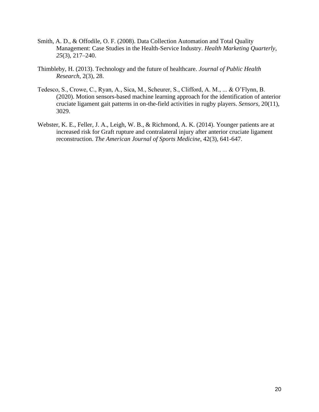- Smith, A. D., & Offodile, O. F. (2008). Data Collection Automation and Total Quality Management: Case Studies in the Health-Service Industry. *Health Marketing Quarterly*, *25*(3), 217–240.
- Thimbleby, H. (2013). Technology and the future of healthcare. *Journal of Public Health Research*, 2(3), 28.
- Tedesco, S., Crowe, C., Ryan, A., Sica, M., Scheurer, S., Clifford, A. M., ... & O'Flynn, B. (2020). Motion sensors-based machine learning approach for the identification of anterior cruciate ligament gait patterns in on-the-field activities in rugby players. *Sensors*, 20(11), 3029.
- Webster, K. E., Feller, J. A., Leigh, W. B., & Richmond, A. K. (2014). Younger patients are at increased risk for Graft rupture and contralateral injury after anterior cruciate ligament reconstruction. *The American Journal of Sports Medicine*, 42(3), 641-647.